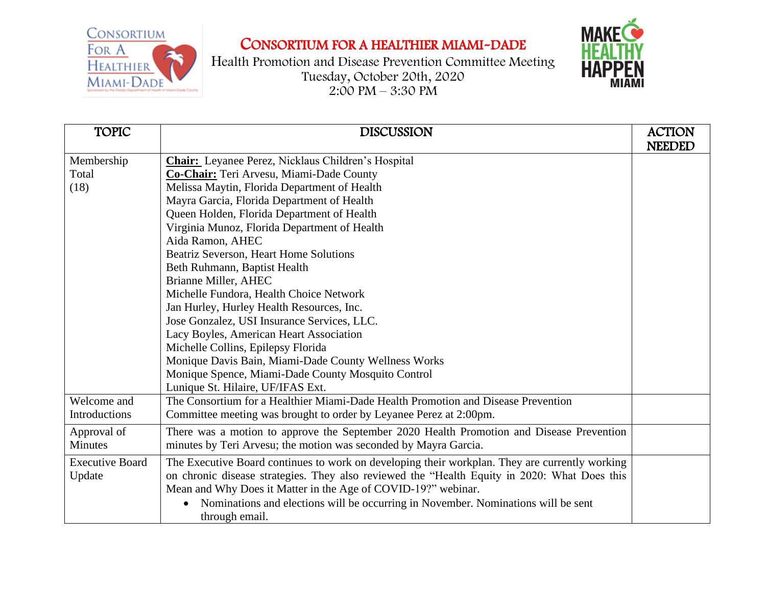



| <b>TOPIC</b>           | <b>DISCUSSION</b>                                                                              | <b>ACTION</b> |
|------------------------|------------------------------------------------------------------------------------------------|---------------|
|                        |                                                                                                | <b>NEEDED</b> |
| Membership             | <b>Chair:</b> Leyanee Perez, Nicklaus Children's Hospital                                      |               |
| Total                  | Co-Chair: Teri Arvesu, Miami-Dade County                                                       |               |
| (18)                   | Melissa Maytin, Florida Department of Health                                                   |               |
|                        | Mayra Garcia, Florida Department of Health                                                     |               |
|                        | Queen Holden, Florida Department of Health                                                     |               |
|                        | Virginia Munoz, Florida Department of Health                                                   |               |
|                        | Aida Ramon, AHEC                                                                               |               |
|                        | Beatriz Severson, Heart Home Solutions                                                         |               |
|                        | Beth Ruhmann, Baptist Health                                                                   |               |
|                        | Brianne Miller, AHEC                                                                           |               |
|                        | Michelle Fundora, Health Choice Network                                                        |               |
|                        | Jan Hurley, Hurley Health Resources, Inc.                                                      |               |
|                        | Jose Gonzalez, USI Insurance Services, LLC.                                                    |               |
|                        | Lacy Boyles, American Heart Association                                                        |               |
|                        | Michelle Collins, Epilepsy Florida                                                             |               |
|                        | Monique Davis Bain, Miami-Dade County Wellness Works                                           |               |
|                        | Monique Spence, Miami-Dade County Mosquito Control                                             |               |
|                        | Lunique St. Hilaire, UF/IFAS Ext.                                                              |               |
| Welcome and            | The Consortium for a Healthier Miami-Dade Health Promotion and Disease Prevention              |               |
| Introductions          | Committee meeting was brought to order by Leyanee Perez at 2:00pm.                             |               |
| Approval of            | There was a motion to approve the September 2020 Health Promotion and Disease Prevention       |               |
| Minutes                | minutes by Teri Arvesu; the motion was seconded by Mayra Garcia.                               |               |
| <b>Executive Board</b> | The Executive Board continues to work on developing their workplan. They are currently working |               |
| Update                 | on chronic disease strategies. They also reviewed the "Health Equity in 2020: What Does this   |               |
|                        | Mean and Why Does it Matter in the Age of COVID-19?" webinar.                                  |               |
|                        | Nominations and elections will be occurring in November. Nominations will be sent              |               |
|                        | through email.                                                                                 |               |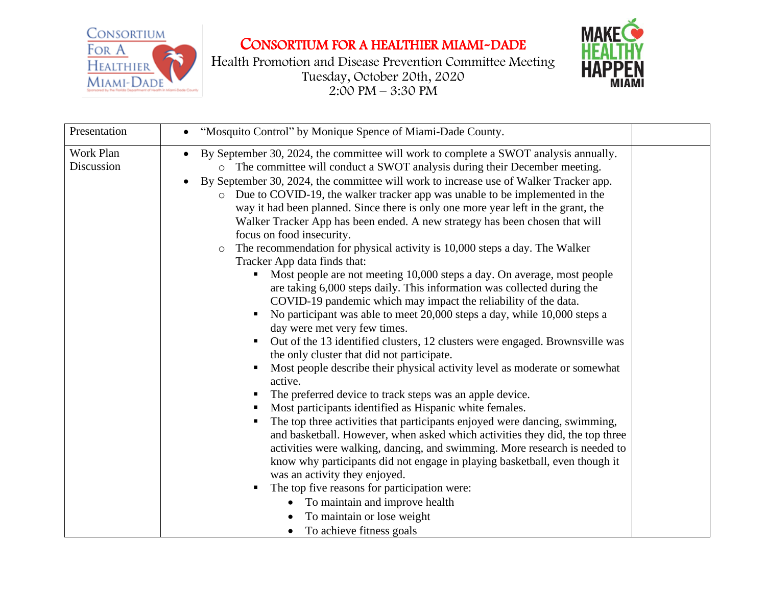



| Presentation            | "Mosquito Control" by Monique Spence of Miami-Dade County.                                                                                                                                                                                                                                                                                                                                                                                                                                                                                                                                                                                                                                                                                                                                                                                                                                                                                                                                                                                                                                                                                                                                                                                                                                                                                                                                                                                                                                                                                                                                                                                                                                                                                                                                                                                                                                |  |
|-------------------------|-------------------------------------------------------------------------------------------------------------------------------------------------------------------------------------------------------------------------------------------------------------------------------------------------------------------------------------------------------------------------------------------------------------------------------------------------------------------------------------------------------------------------------------------------------------------------------------------------------------------------------------------------------------------------------------------------------------------------------------------------------------------------------------------------------------------------------------------------------------------------------------------------------------------------------------------------------------------------------------------------------------------------------------------------------------------------------------------------------------------------------------------------------------------------------------------------------------------------------------------------------------------------------------------------------------------------------------------------------------------------------------------------------------------------------------------------------------------------------------------------------------------------------------------------------------------------------------------------------------------------------------------------------------------------------------------------------------------------------------------------------------------------------------------------------------------------------------------------------------------------------------------|--|
| Work Plan<br>Discussion | By September 30, 2024, the committee will work to complete a SWOT analysis annually.<br>The committee will conduct a SWOT analysis during their December meeting.<br>$\circ$<br>By September 30, 2024, the committee will work to increase use of Walker Tracker app.<br>o Due to COVID-19, the walker tracker app was unable to be implemented in the<br>way it had been planned. Since there is only one more year left in the grant, the<br>Walker Tracker App has been ended. A new strategy has been chosen that will<br>focus on food insecurity.<br>The recommendation for physical activity is 10,000 steps a day. The Walker<br>$\circ$<br>Tracker App data finds that:<br>• Most people are not meeting 10,000 steps a day. On average, most people<br>are taking 6,000 steps daily. This information was collected during the<br>COVID-19 pandemic which may impact the reliability of the data.<br>No participant was able to meet 20,000 steps a day, while 10,000 steps a<br>day were met very few times.<br>• Out of the 13 identified clusters, 12 clusters were engaged. Brownsville was<br>the only cluster that did not participate.<br>Most people describe their physical activity level as moderate or somewhat<br>٠<br>active.<br>The preferred device to track steps was an apple device.<br>Most participants identified as Hispanic white females.<br>п,<br>The top three activities that participants enjoyed were dancing, swimming,<br>and basketball. However, when asked which activities they did, the top three<br>activities were walking, dancing, and swimming. More research is needed to<br>know why participants did not engage in playing basketball, even though it<br>was an activity they enjoyed.<br>The top five reasons for participation were:<br>To maintain and improve health<br>To maintain or lose weight<br>To achieve fitness goals |  |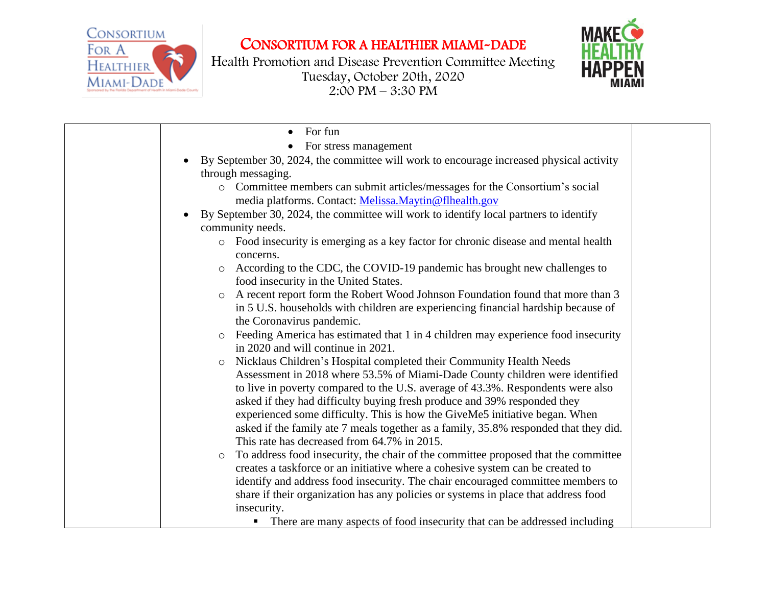



| For fun                                                                                       |  |
|-----------------------------------------------------------------------------------------------|--|
| For stress management                                                                         |  |
| By September 30, 2024, the committee will work to encourage increased physical activity       |  |
| through messaging.                                                                            |  |
| o Committee members can submit articles/messages for the Consortium's social                  |  |
| media platforms. Contact: Melissa.Maytin@flhealth.gov                                         |  |
| By September 30, 2024, the committee will work to identify local partners to identify         |  |
| community needs.                                                                              |  |
| o Food insecurity is emerging as a key factor for chronic disease and mental health           |  |
| concerns.                                                                                     |  |
| According to the CDC, the COVID-19 pandemic has brought new challenges to<br>$\circ$          |  |
| food insecurity in the United States.                                                         |  |
| A recent report form the Robert Wood Johnson Foundation found that more than 3<br>$\circ$     |  |
| in 5 U.S. households with children are experiencing financial hardship because of             |  |
| the Coronavirus pandemic.                                                                     |  |
| Feeding America has estimated that 1 in 4 children may experience food insecurity             |  |
| in 2020 and will continue in 2021.                                                            |  |
| Nicklaus Children's Hospital completed their Community Health Needs<br>$\circ$                |  |
| Assessment in 2018 where 53.5% of Miami-Dade County children were identified                  |  |
| to live in poverty compared to the U.S. average of 43.3%. Respondents were also               |  |
| asked if they had difficulty buying fresh produce and 39% responded they                      |  |
| experienced some difficulty. This is how the GiveMe5 initiative began. When                   |  |
| asked if the family ate 7 meals together as a family, 35.8% responded that they did.          |  |
| This rate has decreased from 64.7% in 2015.                                                   |  |
| To address food insecurity, the chair of the committee proposed that the committee<br>$\circ$ |  |
| creates a taskforce or an initiative where a cohesive system can be created to                |  |
| identify and address food insecurity. The chair encouraged committee members to               |  |
| share if their organization has any policies or systems in place that address food            |  |
| insecurity.                                                                                   |  |
| There are many aspects of food insecurity that can be addressed including                     |  |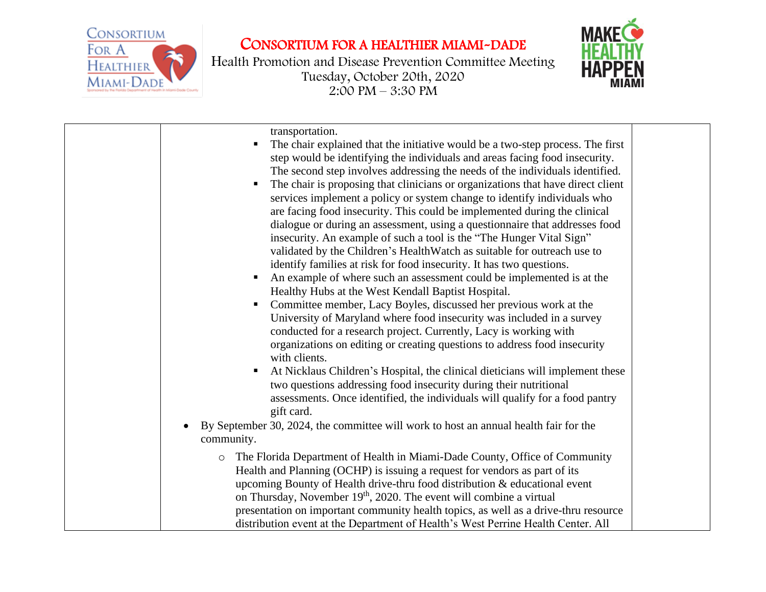



| transportation.<br>The chair explained that the initiative would be a two-step process. The first<br>step would be identifying the individuals and areas facing food insecurity.<br>The second step involves addressing the needs of the individuals identified.<br>The chair is proposing that clinicians or organizations that have direct client<br>services implement a policy or system change to identify individuals who<br>are facing food insecurity. This could be implemented during the clinical<br>dialogue or during an assessment, using a questionnaire that addresses food<br>insecurity. An example of such a tool is the "The Hunger Vital Sign"<br>validated by the Children's HealthWatch as suitable for outreach use to<br>identify families at risk for food insecurity. It has two questions.<br>An example of where such an assessment could be implemented is at the<br>Healthy Hubs at the West Kendall Baptist Hospital.<br>Committee member, Lacy Boyles, discussed her previous work at the<br>University of Maryland where food insecurity was included in a survey<br>conducted for a research project. Currently, Lacy is working with<br>organizations on editing or creating questions to address food insecurity<br>with clients.<br>At Nicklaus Children's Hospital, the clinical dieticians will implement these<br>п<br>two questions addressing food insecurity during their nutritional<br>assessments. Once identified, the individuals will qualify for a food pantry<br>gift card.<br>By September 30, 2024, the committee will work to host an annual health fair for the<br>$\bullet$<br>community. |  |
|----------------------------------------------------------------------------------------------------------------------------------------------------------------------------------------------------------------------------------------------------------------------------------------------------------------------------------------------------------------------------------------------------------------------------------------------------------------------------------------------------------------------------------------------------------------------------------------------------------------------------------------------------------------------------------------------------------------------------------------------------------------------------------------------------------------------------------------------------------------------------------------------------------------------------------------------------------------------------------------------------------------------------------------------------------------------------------------------------------------------------------------------------------------------------------------------------------------------------------------------------------------------------------------------------------------------------------------------------------------------------------------------------------------------------------------------------------------------------------------------------------------------------------------------------------------------------------------------------------------------------------------------------|--|
| The Florida Department of Health in Miami-Dade County, Office of Community<br>$\circ$<br>Health and Planning (OCHP) is issuing a request for vendors as part of its<br>upcoming Bounty of Health drive-thru food distribution & educational event<br>on Thursday, November 19 <sup>th</sup> , 2020. The event will combine a virtual<br>presentation on important community health topics, as well as a drive-thru resource<br>distribution event at the Department of Health's West Perrine Health Center. All                                                                                                                                                                                                                                                                                                                                                                                                                                                                                                                                                                                                                                                                                                                                                                                                                                                                                                                                                                                                                                                                                                                                    |  |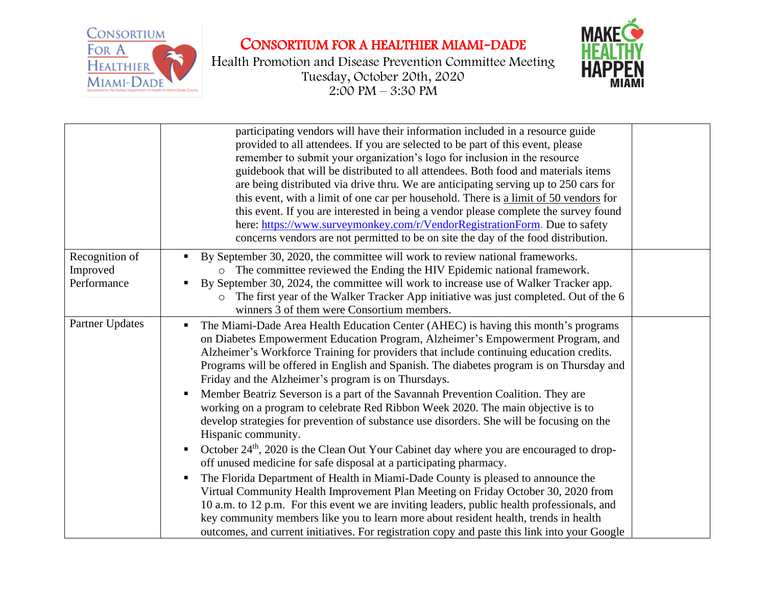



|                         | participating vendors will have their information included in a resource guide<br>provided to all attendees. If you are selected to be part of this event, please<br>remember to submit your organization's logo for inclusion in the resource<br>guidebook that will be distributed to all attendees. Both food and materials items<br>are being distributed via drive thru. We are anticipating serving up to 250 cars for<br>this event, with a limit of one car per household. There is a limit of 50 vendors for<br>this event. If you are interested in being a vendor please complete the survey found<br>here: https://www.surveymonkey.com/r/VendorRegistrationForm. Due to safety<br>concerns vendors are not permitted to be on site the day of the food distribution. |  |
|-------------------------|-----------------------------------------------------------------------------------------------------------------------------------------------------------------------------------------------------------------------------------------------------------------------------------------------------------------------------------------------------------------------------------------------------------------------------------------------------------------------------------------------------------------------------------------------------------------------------------------------------------------------------------------------------------------------------------------------------------------------------------------------------------------------------------|--|
| Recognition of          | By September 30, 2020, the committee will work to review national frameworks.                                                                                                                                                                                                                                                                                                                                                                                                                                                                                                                                                                                                                                                                                                     |  |
| Improved<br>Performance | o The committee reviewed the Ending the HIV Epidemic national framework.                                                                                                                                                                                                                                                                                                                                                                                                                                                                                                                                                                                                                                                                                                          |  |
|                         | By September 30, 2024, the committee will work to increase use of Walker Tracker app.<br>The first year of the Walker Tracker App initiative was just completed. Out of the 6                                                                                                                                                                                                                                                                                                                                                                                                                                                                                                                                                                                                     |  |
|                         | winners 3 of them were Consortium members.                                                                                                                                                                                                                                                                                                                                                                                                                                                                                                                                                                                                                                                                                                                                        |  |
| Partner Updates         | The Miami-Dade Area Health Education Center (AHEC) is having this month's programs<br>on Diabetes Empowerment Education Program, Alzheimer's Empowerment Program, and<br>Alzheimer's Workforce Training for providers that include continuing education credits.<br>Programs will be offered in English and Spanish. The diabetes program is on Thursday and<br>Friday and the Alzheimer's program is on Thursdays.                                                                                                                                                                                                                                                                                                                                                               |  |
|                         | Member Beatriz Severson is a part of the Savannah Prevention Coalition. They are<br>working on a program to celebrate Red Ribbon Week 2020. The main objective is to<br>develop strategies for prevention of substance use disorders. She will be focusing on the<br>Hispanic community.                                                                                                                                                                                                                                                                                                                                                                                                                                                                                          |  |
|                         | October 24 <sup>th</sup> , 2020 is the Clean Out Your Cabinet day where you are encouraged to drop-<br>off unused medicine for safe disposal at a participating pharmacy.                                                                                                                                                                                                                                                                                                                                                                                                                                                                                                                                                                                                         |  |
|                         | The Florida Department of Health in Miami-Dade County is pleased to announce the<br>Virtual Community Health Improvement Plan Meeting on Friday October 30, 2020 from<br>10 a.m. to 12 p.m. For this event we are inviting leaders, public health professionals, and<br>key community members like you to learn more about resident health, trends in health<br>outcomes, and current initiatives. For registration copy and paste this link into your Google                                                                                                                                                                                                                                                                                                                     |  |